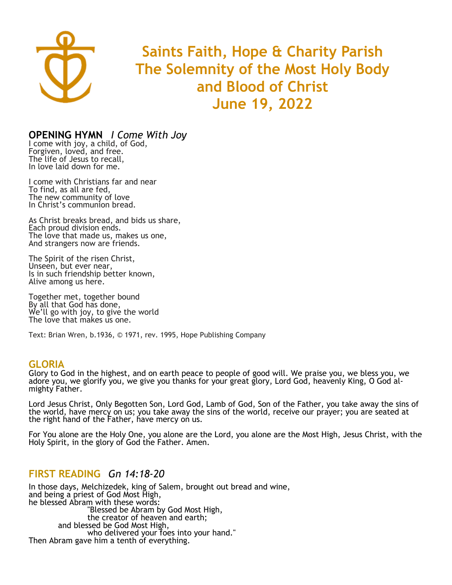

**Saints Faith, Hope & Charity Parish The Solemnity of the Most Holy Body and Blood of Christ June 19, 2022**

## **OPENING HYMN** *I Come With Joy*

I come with joy, a child, of God, Forgiven, loved, and free. The life of Jesus to recall, In love laid down for me.

I come with Christians far and near To find, as all are fed, The new community of love In Christ's communion bread.

As Christ breaks bread, and bids us share, Each proud division ends. The love that made us, makes us one, And strangers now are friends.

The Spirit of the risen Christ, Unseen, but ever near, Is in such friendship better known, Alive among us here.

Together met, together bound By all that God has done, We'll go with joy, to give the world The love that makes us one.

Text: Brian Wren, b.1936, © 1971, rev. 1995, Hope Publishing Company

#### **GLORIA**

Glory to God in the highest, and on earth peace to people of good will. We praise you, we bless you, we adore you, we glorify you, we give you thanks for your great glory, Lord God, heavenly King, O God almighty Father.

Lord Jesus Christ, Only Begotten Son, Lord God, Lamb of God, Son of the Father, you take away the sins of the world, have mercy on us; you take away the sins of the world, receive our prayer; you are seated at the right hand of the Father, have mercy on us.

For You alone are the Holy One, you alone are the Lord, you alone are the Most High, Jesus Christ, with the Holy Spirit, in the glory of God the Father. Amen.

## **FIRST READING** *Gn 14:18-20*

In those days, Melchizedek, king of Salem, brought out bread and wine, and being a priest of God Most High, he blessed Abram with these words: "Blessed be Abram by God Most High, the creator of heaven and earth; and blessed be God Most High, who delivered your foes into your hand." Then Abram gave him a tenth of everything.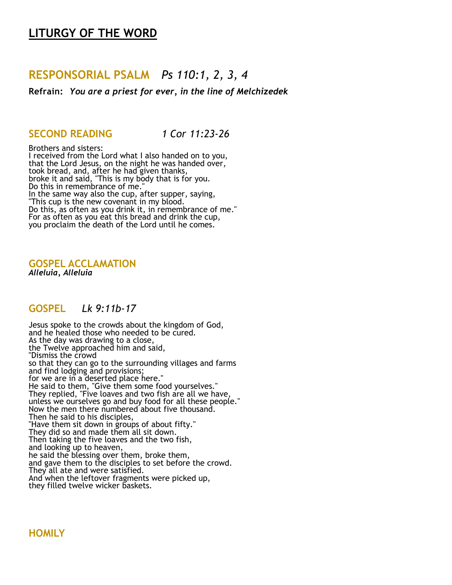# **[LITURGY O](http://www.usccb.org/prayer-and-worship/the-mass/order-of-mass/liturgy-of-the-word/index.cfm)F THE WORD**

# **RESPONSORIAL PSALM** *Ps 110:1, 2, 3, 4*

**Refrain:** *You are a priest for ever, in the line of Melchizedek*

#### **SECOND READING** *1 Cor 11:23-26*

Brothers and sisters: I received from the Lord what I also handed on to you, that the Lord Jesus, on the night he was handed over, took bread, and, after he had given thanks, broke it and said, "This is my body that is for you. Do this in remembrance of me." In the same way also the cup, after supper, saying, "This cup is the new covenant in my blood. Do this, as often as you drink it, in remembrance of me." For as often as you eat this bread and drink the cup, you proclaim the death of the Lord until he comes.

### **GOSPEL ACCLAMATION**

*Alleluia, Alleluia*

#### **GOSPEL** *Lk 9:11b-17*

Jesus spoke to the crowds about the kingdom of God, and he healed those who needed to be cured. As the day was drawing to a close, the Twelve approached him and said, "Dismiss the crowd so that they can go to the surrounding villages and farms and find lodging and provisions; for we are in a deserted place here." He said to them, "Give them some food yourselves." They replied, "Five loaves and two fish are all we have, unless we ourselves go and buy food for all these people." Now the men there numbered about five thousand. Then he said to his disciples, "Have them sit down in groups of about fifty." They did so and made them all sit down. Then taking the five loaves and the two fish, and looking up to heaven, he said the blessing over them, broke them, and gave them to the disciples to set before the crowd. They all ate and were satisfied. And when the leftover fragments were picked up, they filled twelve wicker baskets.

### **HOMILY**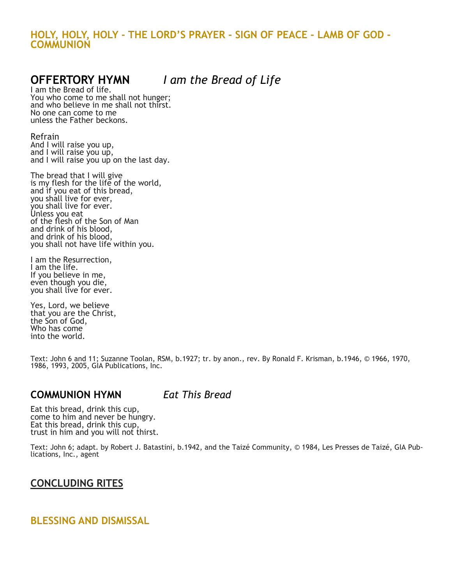## **HOLY, HOLY, HOLY - THE LORD'S PRAYER - SIGN OF PEACE - LAMB OF GOD - COMMUNION**

# **OFFERTORY HYMN** *I am the Bread of Life*

I am the Bread of life. You who come to me shall not hunger; and who believe in me shall not thirst. No one can come to me unless the Father beckons.

Refrain And I will raise you up, and I will raise you up, and I will raise you up on the last day.

The bread that I will give is my flesh for the life of the world, and if you eat of this bread, you shall live for ever, you shall live for ever. Unless you eat of the flesh of the Son of Man and drink of his blood, and drink of his blood, you shall not have life within you.

I am the Resurrection, I am the life. If you believe in me, even though you die, you shall live for ever.

Yes, Lord, we believe that you are the Christ, the Son of God, Who has come into the world.

Text: John 6 and 11; Suzanne Toolan, RSM, b.1927; tr. by anon., rev. By Ronald F. Krisman, b.1946, © 1966, 1970, 1986, 1993, 2005, GIA Publications, Inc.

#### **COMMUNION HYMN** *Eat This Bread*

Eat this bread, drink this cup, come to him and never be hungry. Eat this bread, drink this cup, trust in him and you will not thirst.

Text: John 6; adapt. by Robert J. Batastini, b.1942, and the Taizé Community, © 1984, Les Presses de Taizé, GIA Publications, Inc., agent

## **CONCLUDING RITES**

### **BLESSING AND DISMISSAL**